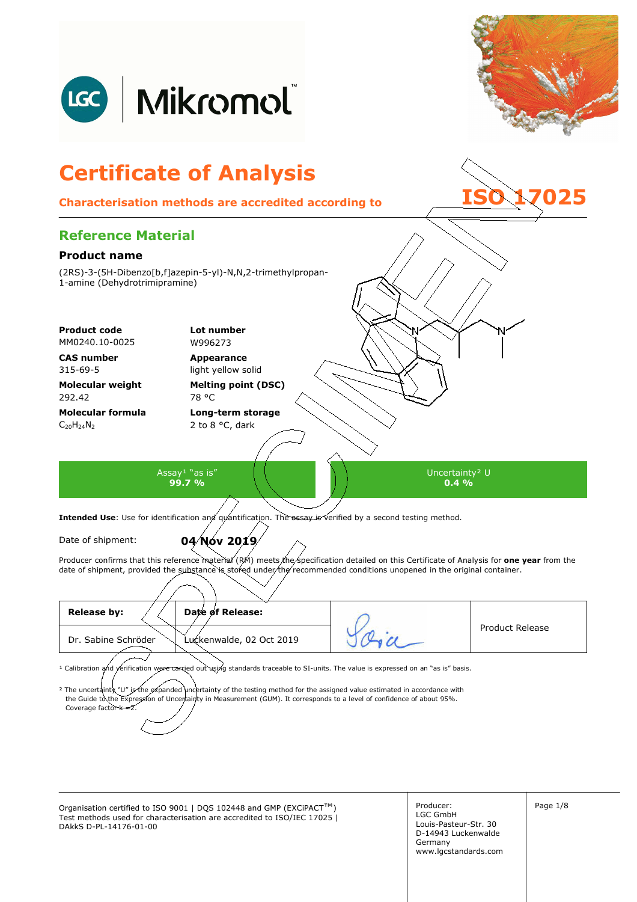

Organisation certified to ISO 9001 | DQS 102448 and GMP (EXCiPACT™) Producer: Producer: Page 1/8 Test methods used for characterisation are accredited to ISO/IEC 17025 | DAkkS D-PL-14176-01-00

Producer: LGC GmbH Louis-Pasteur-Str. 30 D-14943 Luckenwalde Germany www.lgcstandards.com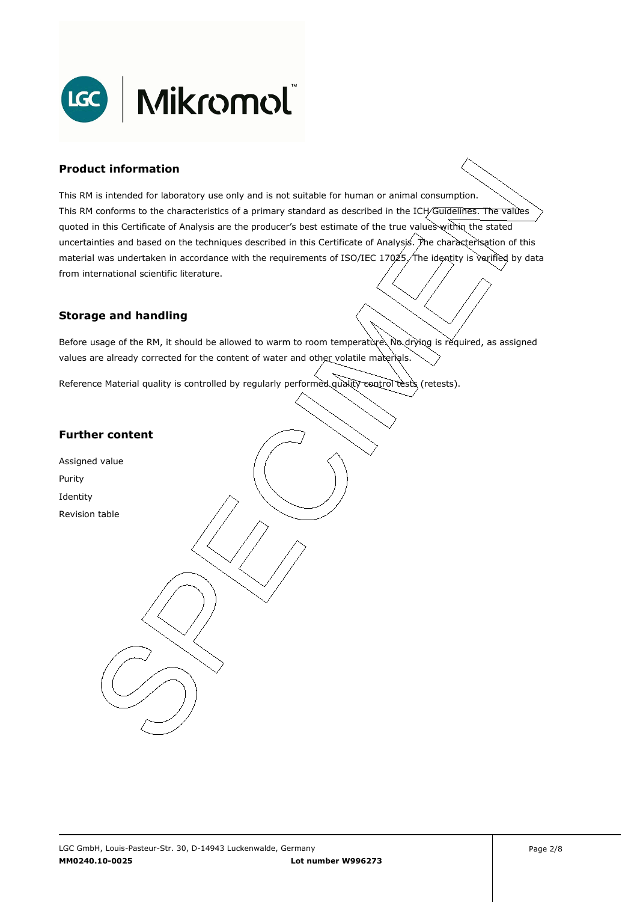

### **Product information**

This RM is intended for laboratory use only and is not suitable for human or animal consumption. This RM conforms to the characteristics of a primary standard as described in the ICH/Guidelines. The values quoted in this Certificate of Analysis are the producer's best estimate of the true values within the stated uncertainties and based on the techniques described in this Certificate of Analysis. The characterisation of this material was undertaken in accordance with the requirements of ISO/IEC 17025, The identity is verified by data . from international scientific literature.

#### **Storage and handling**

Before usage of the RM, it should be allowed to warm to room temperature. No drying is required, as assigned values are already corrected for the content of water and other volatile materials.

Reference Material quality is controlled by regularly performed quality control tests (retests).

### **Further content**

Assigned value Purity Identity Revision table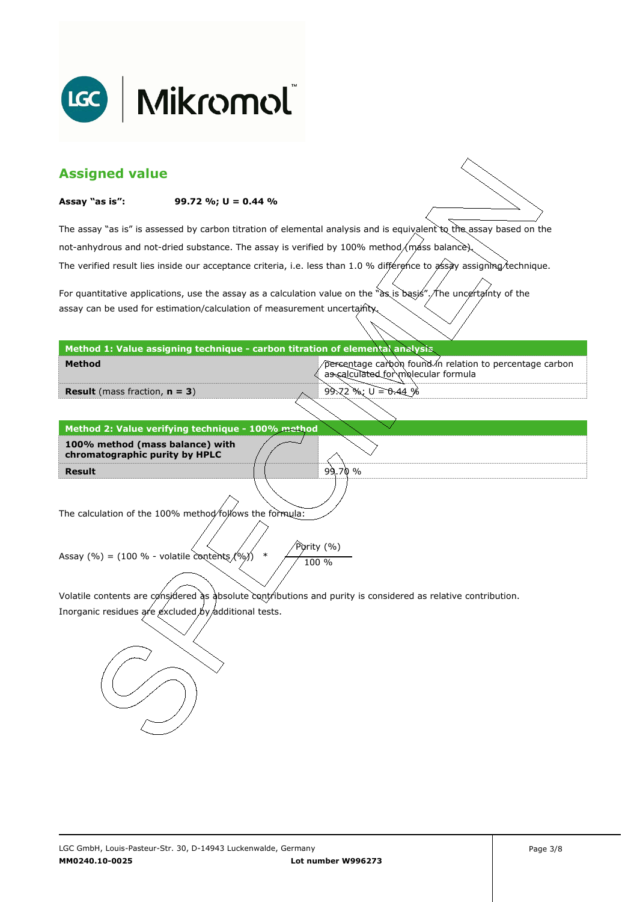

| <b>Assigned value</b>                                                                                         |                                                                                            |                                                                                                                        |  |  |  |
|---------------------------------------------------------------------------------------------------------------|--------------------------------------------------------------------------------------------|------------------------------------------------------------------------------------------------------------------------|--|--|--|
| Assay "as is":                                                                                                | 99.72 %; $U = 0.44$ %                                                                      |                                                                                                                        |  |  |  |
|                                                                                                               |                                                                                            | The assay "as is" is assessed by carbon titration of elemental analysis and is equivalent to the assay based on the    |  |  |  |
|                                                                                                               | not-anhydrous and not-dried substance. The assay is verified by 100% method/máss balance). |                                                                                                                        |  |  |  |
|                                                                                                               |                                                                                            | The verified result lies inside our acceptance criteria, i.e. less than 1.0 % différence to assay assigning technique. |  |  |  |
|                                                                                                               |                                                                                            |                                                                                                                        |  |  |  |
|                                                                                                               | assay can be used for estimation/calculation of measurement uncertainty                    | For quantitative applications, use the assay as a calculation value on the "as is basis". The uncertainty of the       |  |  |  |
|                                                                                                               |                                                                                            |                                                                                                                        |  |  |  |
|                                                                                                               | Method 1: Value assigning technique - carbon titration of elemental analysis               |                                                                                                                        |  |  |  |
| Method                                                                                                        |                                                                                            | percentage carbon found in relation to percentage carbon<br>as calculated for molecular formula                        |  |  |  |
| <b>Result</b> (mass fraction, $n = 3$ )                                                                       |                                                                                            | $99.72$ %; $U = 0.44%$                                                                                                 |  |  |  |
|                                                                                                               |                                                                                            |                                                                                                                        |  |  |  |
|                                                                                                               | Method 2: Value verifying technique - 100% method                                          |                                                                                                                        |  |  |  |
| 100% method (mass balance) with<br>chromatographic purity by HPLC                                             |                                                                                            |                                                                                                                        |  |  |  |
| <b>Result</b>                                                                                                 |                                                                                            | 99.70%                                                                                                                 |  |  |  |
|                                                                                                               |                                                                                            |                                                                                                                        |  |  |  |
|                                                                                                               | The calculation of the 100% method/follows the formula:                                    |                                                                                                                        |  |  |  |
| Purity (%)                                                                                                    |                                                                                            |                                                                                                                        |  |  |  |
| Assay (%) = (100 % - volatile contents $(96)$ )<br>$\ast$<br>100 %                                            |                                                                                            |                                                                                                                        |  |  |  |
|                                                                                                               |                                                                                            |                                                                                                                        |  |  |  |
| Volatile contents are considered as absolute contributions and purity is considered as relative contribution. |                                                                                            |                                                                                                                        |  |  |  |
| Inorganic residues are excluded by additional tests.                                                          |                                                                                            |                                                                                                                        |  |  |  |
|                                                                                                               |                                                                                            |                                                                                                                        |  |  |  |
|                                                                                                               |                                                                                            |                                                                                                                        |  |  |  |
|                                                                                                               |                                                                                            |                                                                                                                        |  |  |  |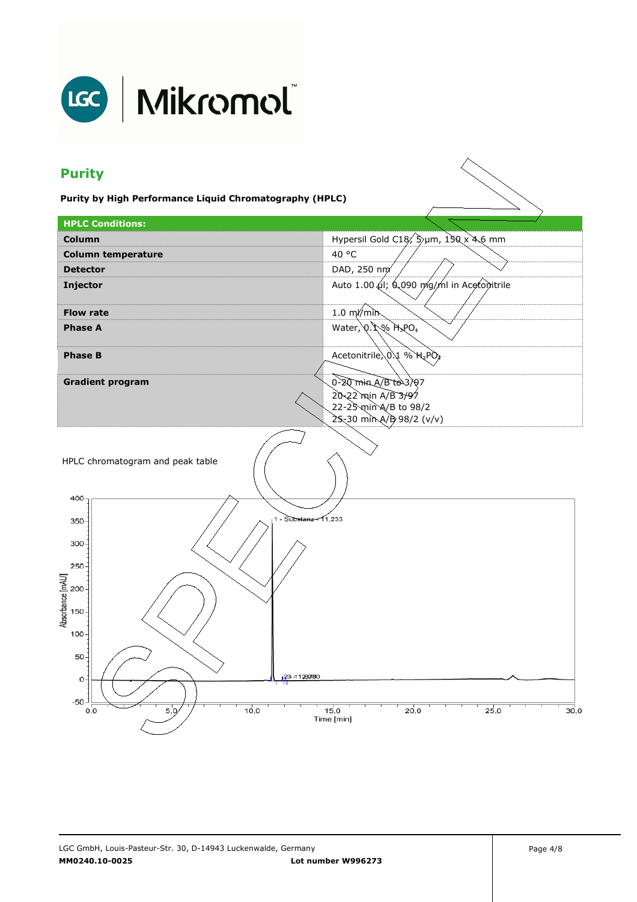

# LGC | Mikromol

## **Purity**

**Purity by High Performance Liquid Chromatography (HPLC)** 

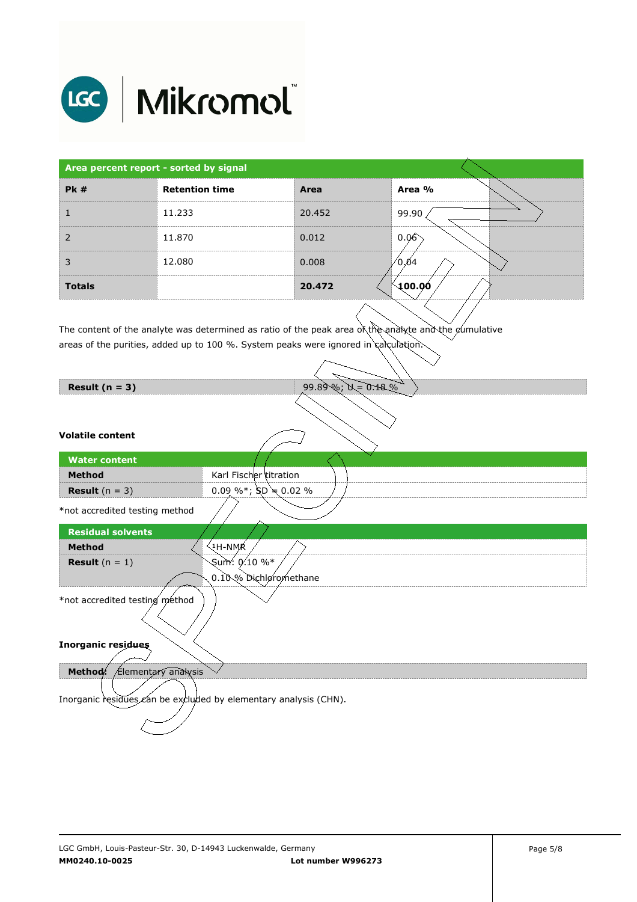

| Area percent report - sorted by signal |                       |        |                     |
|----------------------------------------|-----------------------|--------|---------------------|
| PK#                                    | <b>Retention time</b> | Area   | Area %              |
|                                        | 11.233                | 20.452 | 99.90               |
| 2                                      | 11.870                | 0.012  | 0.06                |
| 3                                      | 12.080                | 0.008  | ∕0.04               |
| <b>Totals</b>                          |                       | 20.472 | $\backslash$ 100.00 |

The content of the analyte was determined as ratio of the peak area of the analyte and the cumulative  $\overline{\phantom{a}}$ areas of the purities, added up to 100 %. System peaks were ignored in calculation.

| Result $(n = 3)$                                                 | $99.89\%$ ; $N = 0.18\%$  |
|------------------------------------------------------------------|---------------------------|
|                                                                  |                           |
| <b>Volatile content</b>                                          |                           |
| <b>Water content</b>                                             |                           |
| <b>Method</b>                                                    | Karl Fischer titration    |
| <b>Result</b> $(n = 3)$                                          | 0.09 %*; $SD \neq 0.02$ % |
| *not accredited testing method                                   |                           |
| <b>Residual solvents</b>                                         |                           |
| <b>Method</b>                                                    | ્મ-NMୂR                   |
| <b>Result</b> $(n = 1)$                                          | Sum: 0.10 %*              |
|                                                                  | 0.10% Dichløromethane     |
| *not accredited testing method                                   |                           |
| <b>Inorganic residues</b>                                        |                           |
| Method: Elementary analysis                                      |                           |
| Inorganic residues can be excluded by elementary analysis (CHN). |                           |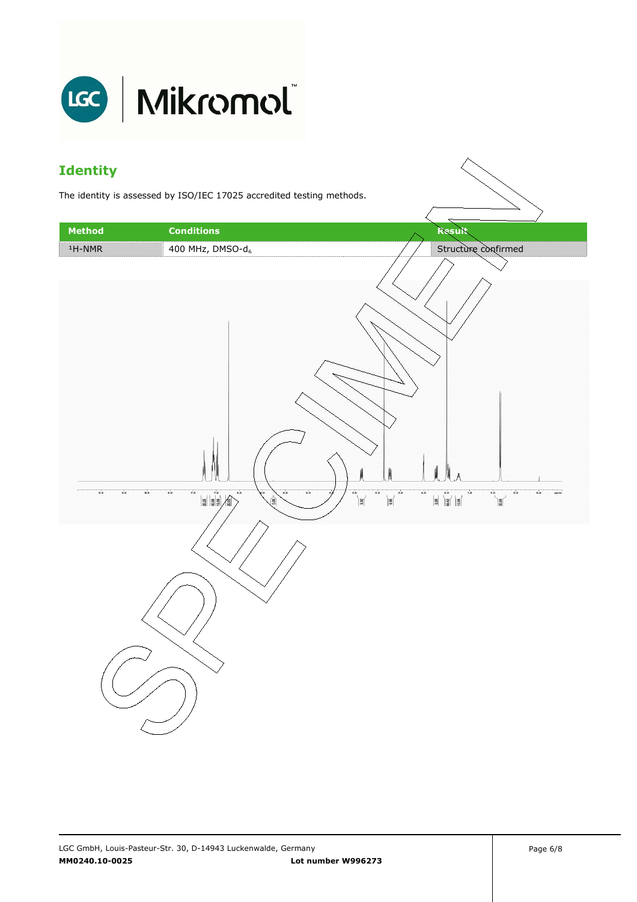

### **Identity**

The identity is assessed by ISO/IEC 17025 accredited testing methods.

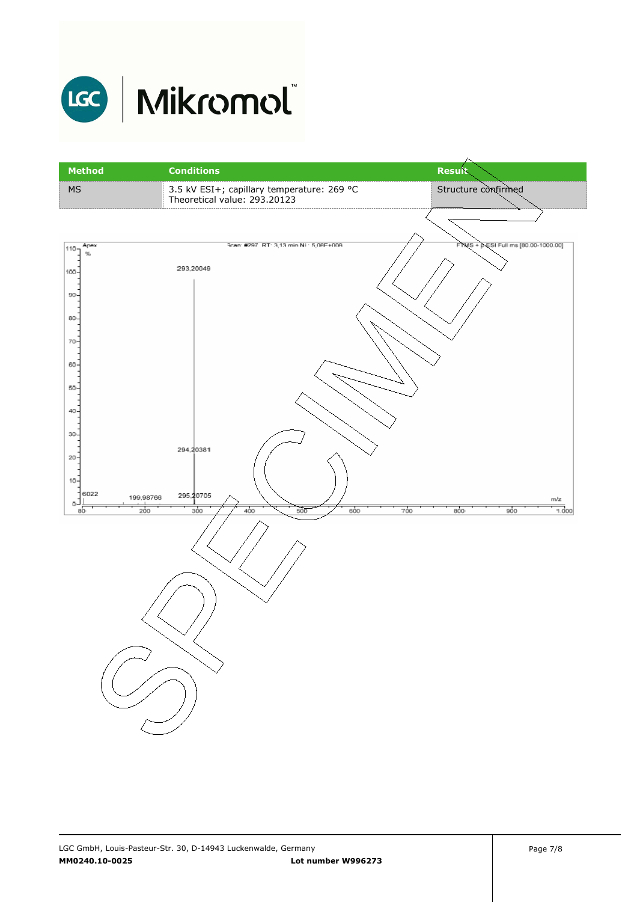

# LGC Mikromol

| <b>Method</b>                                                                                               | <b>Conditions</b>                                                          | <b>Result</b>                       |
|-------------------------------------------------------------------------------------------------------------|----------------------------------------------------------------------------|-------------------------------------|
| MS                                                                                                          | 3.5 kV ESI+; capillary temperature: 269 °C<br>Theoretical value: 293.20123 | Structure confirmed                 |
|                                                                                                             |                                                                            |                                     |
| Apex<br>$110 -$<br>$\%$<br>100-<br>$90 -$<br>80-<br>70<br>60<br>50-<br>$40 -$<br>$30 -$<br>$20 -$<br>$10 -$ | Scan: #297, RT: 3,13 min NL: 5,08E+008<br>293,20049<br>294,20381           | FTMS + PESI Full ms [80.00-1000.00] |
| 6022<br>199,98766<br>ō-<br>200<br>$50^{\circ}$                                                              | 295,20705<br>400<br>$\overline{500}$<br>600<br>300                         | mlz<br>700<br>800<br>900<br>1.000   |
|                                                                                                             |                                                                            |                                     |